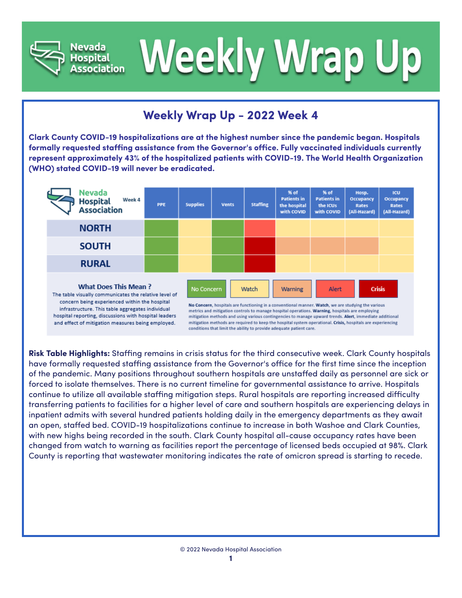



## **Weekly Wrap Up - 2022 Week 4**

**Clark County COVID-19 hospitalizations are at the highest number since the pandemic began. Hospitals formally requested staffing assistance from the Governor's office. Fully vaccinated individuals currently represent approximately 43% of the hospitalized patients with COVID-19. The World Health Organization (WHO) stated COVID-19 will never be eradicated.**

| Nevada<br>Week 4<br><b>Hospital</b><br>Association                                                                                                                                                                                                                                                      | <b>PPE</b> | <b>Supplies</b> | <b>Vents</b>                                                                                                                                                                                                                                                                                                                                                                                                                                                                                                                                                       | <b>Staffing</b> | % of<br><b>Patients in</b><br>the hospital<br>with COVID | % of<br><b>Patients in</b><br>the ICUs<br>with COVID | Hosp.<br>Occupancy<br><b>Rates</b><br>(All-Hazard) | <b>ICU</b><br>Occupancy<br>Rates<br>(All-Hazard) |
|---------------------------------------------------------------------------------------------------------------------------------------------------------------------------------------------------------------------------------------------------------------------------------------------------------|------------|-----------------|--------------------------------------------------------------------------------------------------------------------------------------------------------------------------------------------------------------------------------------------------------------------------------------------------------------------------------------------------------------------------------------------------------------------------------------------------------------------------------------------------------------------------------------------------------------------|-----------------|----------------------------------------------------------|------------------------------------------------------|----------------------------------------------------|--------------------------------------------------|
| <b>NORTH</b>                                                                                                                                                                                                                                                                                            |            |                 |                                                                                                                                                                                                                                                                                                                                                                                                                                                                                                                                                                    |                 |                                                          |                                                      |                                                    |                                                  |
| <b>SOUTH</b>                                                                                                                                                                                                                                                                                            |            |                 |                                                                                                                                                                                                                                                                                                                                                                                                                                                                                                                                                                    |                 |                                                          |                                                      |                                                    |                                                  |
| <b>RURAL</b>                                                                                                                                                                                                                                                                                            |            |                 |                                                                                                                                                                                                                                                                                                                                                                                                                                                                                                                                                                    |                 |                                                          |                                                      |                                                    |                                                  |
| <b>What Does This Mean?</b><br>The table visually communicates the relative level of<br>concern being experienced within the hospital<br>infrastructure. This table aggregates individual<br>hospital reporting, discussions with hospital leaders<br>and effect of mitigation measures being employed. |            |                 | <b>Crisis</b><br>Alert<br>No Concern<br>Watch<br>Warning<br>No Concern, hospitals are functioning in a conventional manner. Watch, we are studying the various<br>metrics and mitigation controls to manage hospital operations. Warning, hospitals are employing<br>mitigation methods and using various contingencies to manage upward trends. Alert, immediate additional<br>mitigation methods are required to keep the hospital system operational. Crisis, hospitals are experiencing<br>conditions that limit the ability to provide adequate patient care. |                 |                                                          |                                                      |                                                    |                                                  |

**Risk Table Highlights:** Staffing remains in crisis status for the third consecutive week. Clark County hospitals have formally requested staffing assistance from the Governor's office for the first time since the inception of the pandemic. Many positions throughout southern hospitals are unstaffed daily as personnel are sick or forced to isolate themselves. There is no current timeline for governmental assistance to arrive. Hospitals continue to utilize all available staffing mitigation steps. Rural hospitals are reporting increased difficulty transferring patients to facilities for a higher level of care and southern hospitals are experiencing delays in inpatient admits with several hundred patients holding daily in the emergency departments as they await an open, staffed bed. COVID-19 hospitalizations continue to increase in both Washoe and Clark Counties, with new highs being recorded in the south. Clark County hospital all-cause occupancy rates have been changed from watch to warning as facilities report the percentage of licensed beds occupied at 98%. Clark County is reporting that wastewater monitoring indicates the rate of omicron spread is starting to recede.